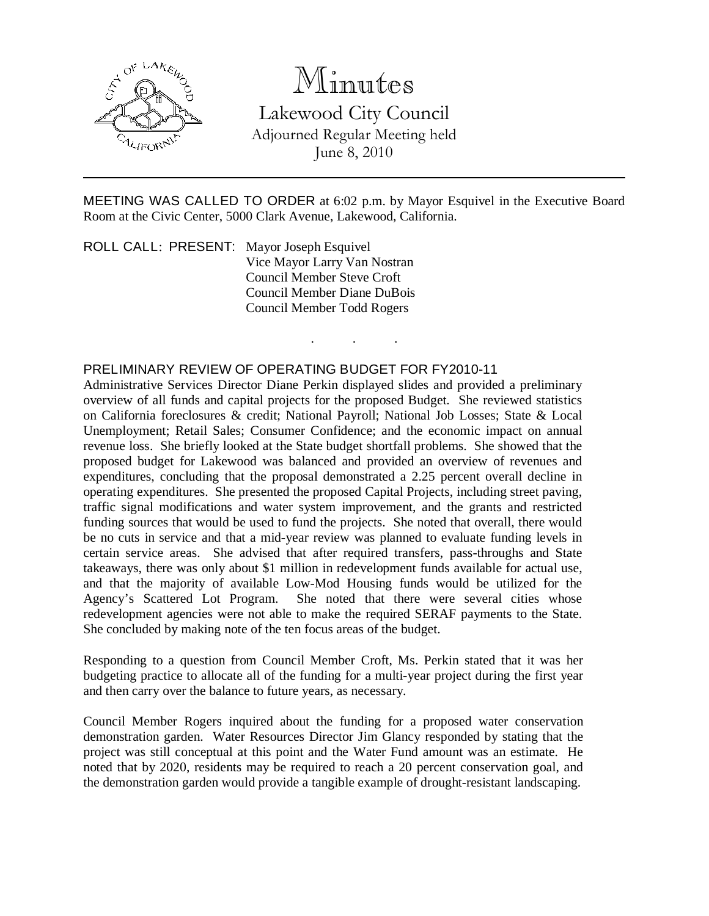

## Minutes

Lakewood City Council Adjourned Regular Meeting held June 8, 2010

MEETING WAS CALLED TO ORDER at 6:02 p.m. by Mayor Esquivel in the Executive Board Room at the Civic Center, 5000 Clark Avenue, Lakewood, California.

. . .

ROLL CALL: PRESENT: Mayor Joseph Esquivel Vice Mayor Larry Van Nostran Council Member Steve Croft Council Member Diane DuBois Council Member Todd Rogers

## PRELIMINARY REVIEW OF OPERATING BUDGET FOR FY2010-11

Administrative Services Director Diane Perkin displayed slides and provided a preliminary overview of all funds and capital projects for the proposed Budget. She reviewed statistics on California foreclosures & credit; National Payroll; National Job Losses; State & Local Unemployment; Retail Sales; Consumer Confidence; and the economic impact on annual revenue loss. She briefly looked at the State budget shortfall problems. She showed that the proposed budget for Lakewood was balanced and provided an overview of revenues and expenditures, concluding that the proposal demonstrated a 2.25 percent overall decline in operating expenditures. She presented the proposed Capital Projects, including street paving, traffic signal modifications and water system improvement, and the grants and restricted funding sources that would be used to fund the projects. She noted that overall, there would be no cuts in service and that a mid-year review was planned to evaluate funding levels in certain service areas. She advised that after required transfers, pass-throughs and State takeaways, there was only about \$1 million in redevelopment funds available for actual use, and that the majority of available Low-Mod Housing funds would be utilized for the Agency's Scattered Lot Program. She noted that there were several cities whose She noted that there were several cities whose redevelopment agencies were not able to make the required SERAF payments to the State. She concluded by making note of the ten focus areas of the budget.

Responding to a question from Council Member Croft, Ms. Perkin stated that it was her budgeting practice to allocate all of the funding for a multi-year project during the first year and then carry over the balance to future years, as necessary.

Council Member Rogers inquired about the funding for a proposed water conservation demonstration garden. Water Resources Director Jim Glancy responded by stating that the project was still conceptual at this point and the Water Fund amount was an estimate. He noted that by 2020, residents may be required to reach a 20 percent conservation goal, and the demonstration garden would provide a tangible example of drought-resistant landscaping.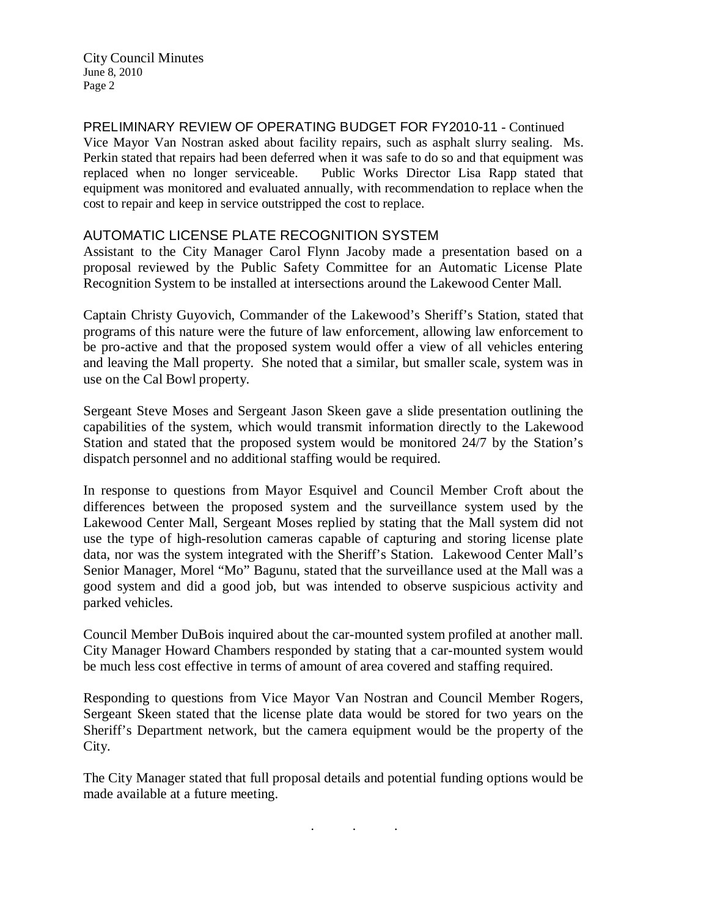City Council Minutes June 8, 2010 Page 2

PRELIMINARY REVIEW OF OPERATING BUDGET FOR FY2010-11 - Continued Vice Mayor Van Nostran asked about facility repairs, such as asphalt slurry sealing. Ms. Perkin stated that repairs had been deferred when it was safe to do so and that equipment was replaced when no longer serviceable. Public Works Director Lisa Rapp stated that equipment was monitored and evaluated annually, with recommendation to replace when the cost to repair and keep in service outstripped the cost to replace.

## AUTOMATIC LICENSE PLATE RECOGNITION SYSTEM

Assistant to the City Manager Carol Flynn Jacoby made a presentation based on a proposal reviewed by the Public Safety Committee for an Automatic License Plate Recognition System to be installed at intersections around the Lakewood Center Mall.

Captain Christy Guyovich, Commander of the Lakewood's Sheriff's Station, stated that programs of this nature were the future of law enforcement, allowing law enforcement to be pro-active and that the proposed system would offer a view of all vehicles entering and leaving the Mall property. She noted that a similar, but smaller scale, system was in use on the Cal Bowl property.

Sergeant Steve Moses and Sergeant Jason Skeen gave a slide presentation outlining the capabilities of the system, which would transmit information directly to the Lakewood Station and stated that the proposed system would be monitored 24/7 by the Station's dispatch personnel and no additional staffing would be required.

In response to questions from Mayor Esquivel and Council Member Croft about the differences between the proposed system and the surveillance system used by the Lakewood Center Mall, Sergeant Moses replied by stating that the Mall system did not use the type of high-resolution cameras capable of capturing and storing license plate data, nor was the system integrated with the Sheriff's Station. Lakewood Center Mall's Senior Manager, Morel "Mo" Bagunu, stated that the surveillance used at the Mall was a good system and did a good job, but was intended to observe suspicious activity and parked vehicles.

Council Member DuBois inquired about the car-mounted system profiled at another mall. City Manager Howard Chambers responded by stating that a car-mounted system would be much less cost effective in terms of amount of area covered and staffing required.

Responding to questions from Vice Mayor Van Nostran and Council Member Rogers, Sergeant Skeen stated that the license plate data would be stored for two years on the Sheriff's Department network, but the camera equipment would be the property of the City.

The City Manager stated that full proposal details and potential funding options would be made available at a future meeting.

. . .